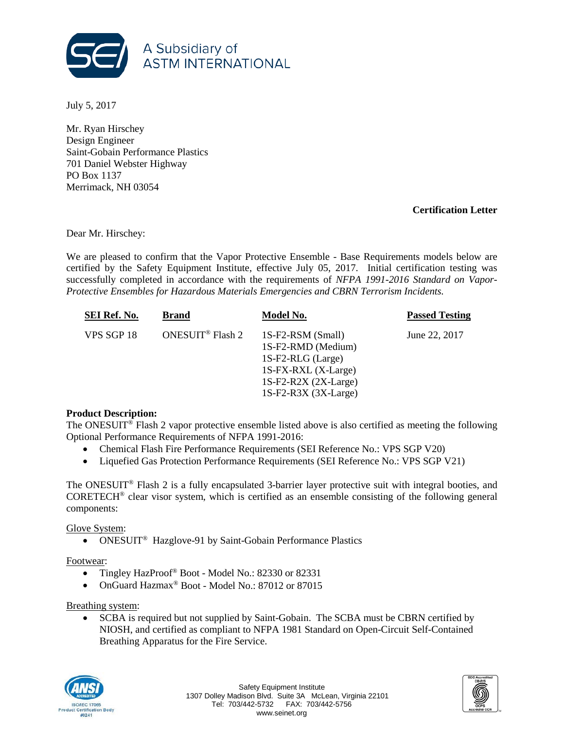

July 5, 2017

Mr. Ryan Hirschey Design Engineer Saint-Gobain Performance Plastics 701 Daniel Webster Highway PO Box 1137 Merrimack, NH 03054

## **Certification Letter**

Dear Mr. Hirschey:

We are pleased to confirm that the Vapor Protective Ensemble - Base Requirements models below are certified by the Safety Equipment Institute, effective July 05, 2017. Initial certification testing was successfully completed in accordance with the requirements of *NFPA 1991-2016 Standard on Vapor-Protective Ensembles for Hazardous Materials Emergencies and CBRN Terrorism Incidents.*

| SEI Ref. No. | <b>Brand</b>                 | Model No.                                                                                                                             | <b>Passed Testing</b> |
|--------------|------------------------------|---------------------------------------------------------------------------------------------------------------------------------------|-----------------------|
| VPS SGP 18   | ONESUIT <sup>®</sup> Flash 2 | 1S-F2-RSM (Small)<br>1S-F2-RMD (Medium)<br>1S-F2-RLG (Large)<br>1S-FX-RXL (X-Large)<br>$1S-F2-R2X (2X-Large)$<br>1S-F2-R3X (3X-Large) | June 22, 2017         |

## **Product Description:**

The ONESUIT<sup>®</sup> Flash 2 vapor protective ensemble listed above is also certified as meeting the following Optional Performance Requirements of NFPA 1991-2016:

- Chemical Flash Fire Performance Requirements (SEI Reference No.: VPS SGP V20)
- Liquefied Gas Protection Performance Requirements (SEI Reference No.: VPS SGP V21)

The ONESUIT® Flash 2 is a fully encapsulated 3-barrier layer protective suit with integral booties, and CORETECH® clear visor system, which is certified as an ensemble consisting of the following general components:

Glove System:

• ONESUIT<sup>®</sup> Hazglove-91 by Saint-Gobain Performance Plastics

Footwear:

- Tingley HazProof<sup>®</sup> Boot Model No.: 82330 or 82331
- OnGuard Hazmax<sup>®</sup> Boot Model No.: 87012 or 87015

Breathing system:

SCBA is required but not supplied by Saint-Gobain. The SCBA must be CBRN certified by NIOSH, and certified as compliant to NFPA 1981 Standard on Open-Circuit Self-Contained Breathing Apparatus for the Fire Service.